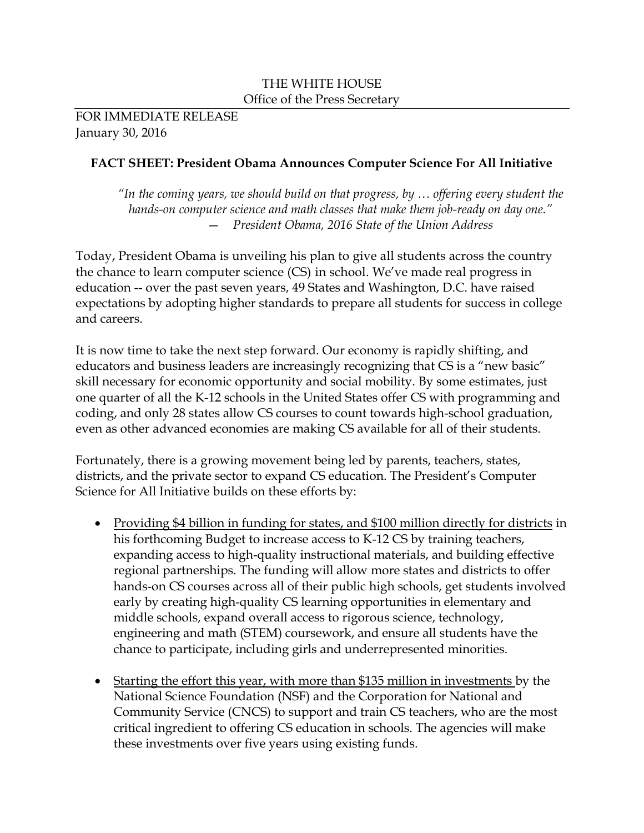#### THE WHITE HOUSE Office of the Press Secretary

FOR IMMEDIATE RELEASE January 30, 2016

## **FACT SHEET: President Obama Announces Computer Science For All Initiative**

*"In the coming years, we should build on that progress, by … offering every student the hands-on computer science and math classes that make them job-ready on day one."* — *President Obama, 2016 State of the Union Address*

Today, President Obama is unveiling his plan to give all students across the country the chance to learn computer science (CS) in school. We've made real progress in education -- over the past seven years, 49 States and Washington, D.C. have raised expectations by adopting higher standards to prepare all students for success in college and careers.

It is now time to take the next step forward. Our economy is rapidly shifting, and educators and business leaders are increasingly recognizing that CS is a "new basic" skill necessary for economic opportunity and social mobility. By some estimates, just one quarter of all the K-12 schools in the United States offer CS with programming and coding, and only 28 states allow CS courses to count towards high-school graduation, even as other advanced economies are making CS available for all of their students.

Fortunately, there is a growing movement being led by parents, teachers, states, districts, and the private sector to expand CS education. The President's Computer Science for All Initiative builds on these efforts by:

- Providing \$4 billion in funding for states, and \$100 million directly for districts in his forthcoming Budget to increase access to K-12 CS by training teachers, expanding access to high-quality instructional materials, and building effective regional partnerships. The funding will allow more states and districts to offer hands-on CS courses across all of their public high schools, get students involved early by creating high-quality CS learning opportunities in elementary and middle schools, expand overall access to rigorous science, technology, engineering and math (STEM) coursework, and ensure all students have the chance to participate, including girls and underrepresented minorities.
- Starting the effort this year, with more than \$135 million in investments by the National Science Foundation (NSF) and the Corporation for National and Community Service (CNCS) to support and train CS teachers, who are the most critical ingredient to offering CS education in schools. The agencies will make these investments over five years using existing funds.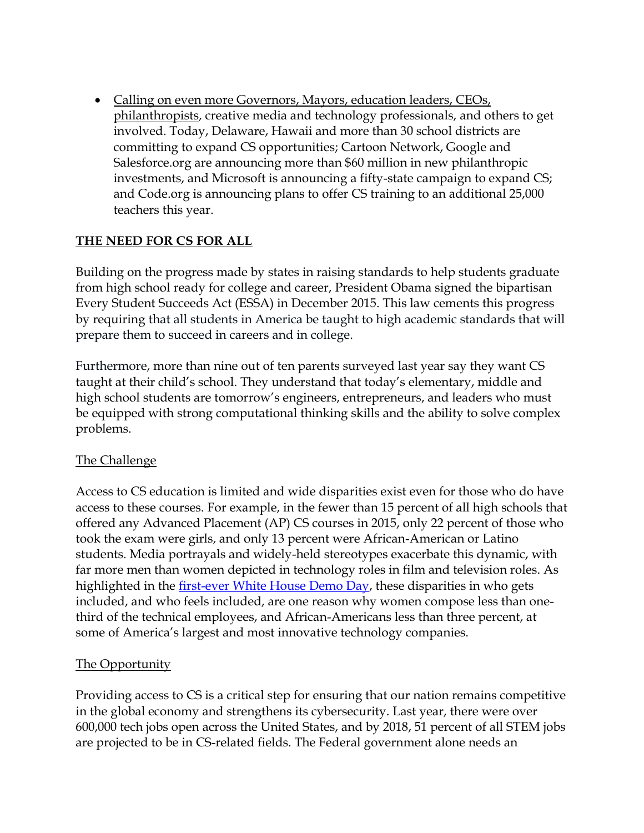• Calling on even more Governors, Mayors, education leaders, CEOs, philanthropists, creative media and technology professionals, and others to get involved. Today, Delaware, Hawaii and more than 30 school districts are committing to expand CS opportunities; Cartoon Network, Google and Salesforce.org are announcing more than \$60 million in new philanthropic investments, and Microsoft is announcing a fifty-state campaign to expand CS; and Code.org is announcing plans to offer CS training to an additional 25,000 teachers this year.

## **THE NEED FOR CS FOR ALL**

Building on the progress made by states in raising standards to help students graduate from high school ready for college and career, President Obama signed the bipartisan Every Student Succeeds Act (ESSA) in December 2015. This law cements this progress by requiring that all students in America be taught to high academic standards that will prepare them to succeed in careers and in college.

Furthermore, more than nine out of ten parents surveyed last year say they want CS taught at their child's school. They understand that today's elementary, middle and high school students are tomorrow's engineers, entrepreneurs, and leaders who must be equipped with strong computational thinking skills and the ability to solve complex problems.

### The Challenge

Access to CS education is limited and wide disparities exist even for those who do have access to these courses. For example, in the fewer than 15 percent of all high schools that offered any Advanced Placement (AP) CS courses in 2015, only 22 percent of those who took the exam were girls, and only 13 percent were African-American or Latino students. Media portrayals and widely-held stereotypes exacerbate this dynamic, with far more men than women depicted in technology roles in film and television roles. As highlighted in the [first-ever White House Demo Day,](https://www.whitehouse.gov/demo-day) these disparities in who gets included, and who feels included, are one reason why women compose less than onethird of the technical employees, and African-Americans less than three percent, at some of America's largest and most innovative technology companies.

### The Opportunity

Providing access to CS is a critical step for ensuring that our nation remains competitive in the global economy and strengthens its cybersecurity. Last year, there were over 600,000 tech jobs open across the United States, and by 2018, 51 percent of all STEM jobs are projected to be in CS-related fields. The Federal government alone needs an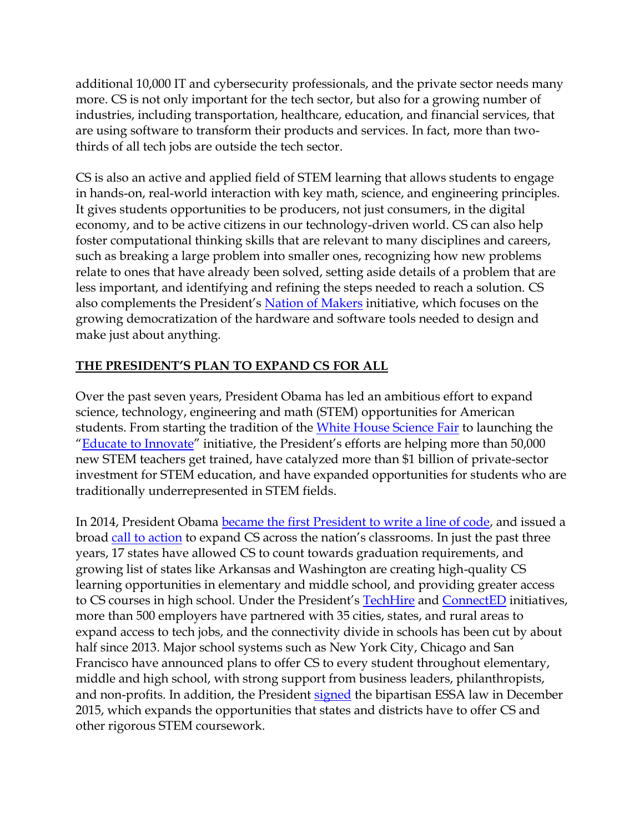additional 10,000 IT and cybersecurity professionals, and the private sector needs many more. CS is not only important for the tech sector, but also for a growing number of industries, including transportation, healthcare, education, and financial services, that are using software to transform their products and services. In fact, more than twothirds of all tech jobs are outside the tech sector.

CS is also an active and applied field of STEM learning that allows students to engage in hands-on, real-world interaction with key math, science, and engineering principles. It gives students opportunities to be producers, not just consumers, in the digital economy, and to be active citizens in our technology-driven world. CS can also help foster computational thinking skills that are relevant to many disciplines and careers, such as breaking a large problem into smaller ones, recognizing how new problems relate to ones that have already been solved, setting aside details of a problem that are less important, and identifying and refining the steps needed to reach a solution. CS also complements the President's [Nation of Makers](https://www.whitehouse.gov/nation-of-makers) initiative, which focuses on the growing democratization of the hardware and software tools needed to design and make just about anything.

### **THE PRESIDENT'S PLAN TO EXPAND CS FOR ALL**

Over the past seven years, President Obama has led an ambitious effort to expand science, technology, engineering and math (STEM) opportunities for American students. From starting the tradition of the [White House Science Fair](https://www.whitehouse.gov/science-fair) to launching the "**[Educate to Innovate](https://www.whitehouse.gov/issues/education/k-12/educate-innovate)**" initiative, the President's efforts are helping more than 50,000 new STEM teachers get trained, have catalyzed more than \$1 billion of private-sector investment for STEM education, and have expanded opportunities for students who are traditionally underrepresented in STEM fields.

In 2014, President Obama [became the first President to write a line of code,](https://www.whitehouse.gov/blog/2014/12/10/president-obama-first-president-write-line-code) and issued a broad [call to action](https://www.whitehouse.gov/the-press-office/2014/12/08/fact-sheet-new-commitments-support-computer-science-education) to expand CS across the nation's classrooms. In just the past three years, 17 states have allowed CS to count towards graduation requirements, and growing list of states like Arkansas and Washington are creating high-quality CS learning opportunities in elementary and middle school, and providing greater access to CS courses in high school. Under the President's [TechHire](https://www.whitehouse.gov/issues/technology/techhire) and [ConnectED](https://www.whitehouse.gov/issues/education/k-12/connected) initiatives, more than 500 employers have partnered with 35 cities, states, and rural areas to expand access to tech jobs, and the connectivity divide in schools has been cut by about half since 2013. Major school systems such as New York City, Chicago and San Francisco have announced plans to offer CS to every student throughout elementary, middle and high school, with strong support from business leaders, philanthropists, and non-profits. In addition, the President [signed](https://www.whitehouse.gov/the-press-office/2015/12/10/white-house-report-every-student-succeeds-act) the bipartisan ESSA law in December 2015, which expands the opportunities that states and districts have to offer CS and other rigorous STEM coursework.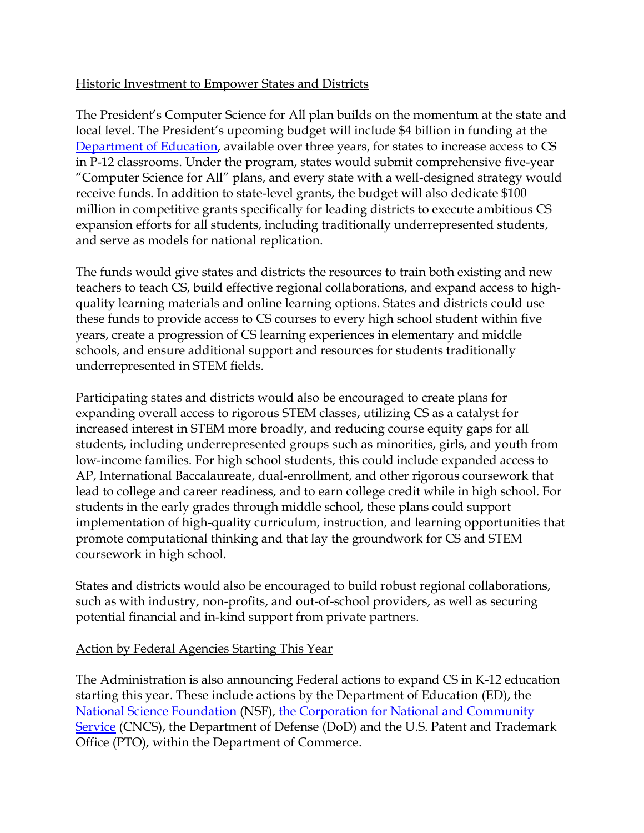### Historic Investment to Empower States and Districts

The President's Computer Science for All plan builds on the momentum at the state and local level. The President's upcoming budget will include \$4 billion in funding at the [Department of Education,](http://www.innovation.ed.gov/what-we-do/stem/computer-science-for-all) available over three years, for states to increase access to CS in P-12 classrooms. Under the program, states would submit comprehensive five-year "Computer Science for All" plans, and every state with a well-designed strategy would receive funds. In addition to state-level grants, the budget will also dedicate \$100 million in competitive grants specifically for leading districts to execute ambitious CS expansion efforts for all students, including traditionally underrepresented students, and serve as models for national replication.

The funds would give states and districts the resources to train both existing and new teachers to teach CS, build effective regional collaborations, and expand access to highquality learning materials and online learning options. States and districts could use these funds to provide access to CS courses to every high school student within five years, create a progression of CS learning experiences in elementary and middle schools, and ensure additional support and resources for students traditionally underrepresented in STEM fields.

Participating states and districts would also be encouraged to create plans for expanding overall access to rigorous STEM classes, utilizing CS as a catalyst for increased interest in STEM more broadly, and reducing course equity gaps for all students, including underrepresented groups such as minorities, girls, and youth from low-income families. For high school students, this could include expanded access to AP, International Baccalaureate, dual-enrollment, and other rigorous coursework that lead to college and career readiness, and to earn college credit while in high school. For students in the early grades through middle school, these plans could support implementation of high-quality curriculum, instruction, and learning opportunities that promote computational thinking and that lay the groundwork for CS and STEM coursework in high school.

States and districts would also be encouraged to build robust regional collaborations, such as with industry, non-profits, and out-of-school providers, as well as securing potential financial and in-kind support from private partners.

### Action by Federal Agencies Starting This Year

The Administration is also announcing Federal actions to expand CS in K-12 education starting this year. These include actions by the Department of Education (ED), the [National Science Foundation](http://nsf.gov/csforall) (NSF), [the Corporation for National and Community](http://www.nationalservice.gov/CSforAll)  [Service](http://www.nationalservice.gov/CSforAll) (CNCS), the Department of Defense (DoD) and the U.S. Patent and Trademark Office (PTO), within the Department of Commerce.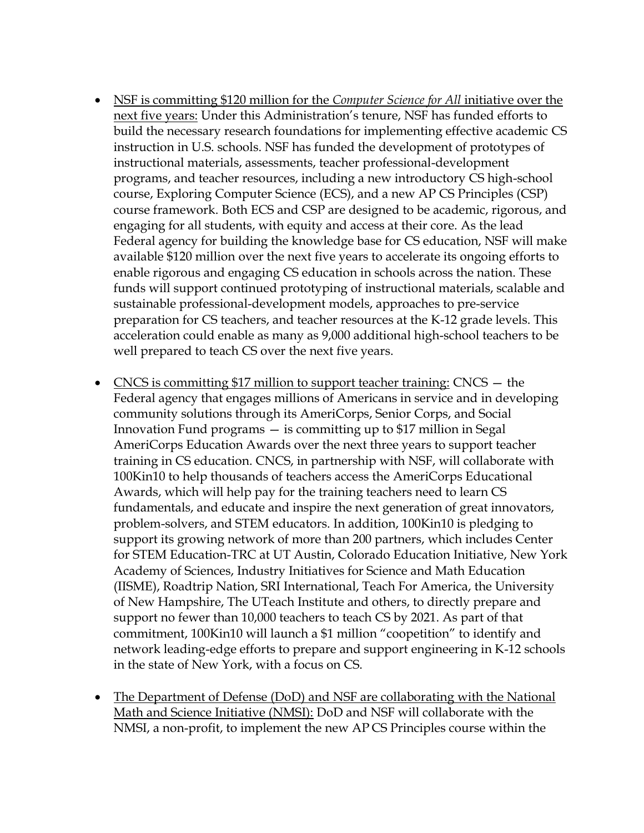- NSF is committing \$120 million for the *Computer Science for All* initiative over the next five years: Under this Administration's tenure, NSF has funded efforts to build the necessary research foundations for implementing effective academic CS instruction in U.S. schools. NSF has funded the development of prototypes of instructional materials, assessments, teacher professional-development programs, and teacher resources, including a new introductory CS high-school course, Exploring Computer Science (ECS), and a new AP CS Principles (CSP) course framework. Both ECS and CSP are designed to be academic, rigorous, and engaging for all students, with equity and access at their core. As the lead Federal agency for building the knowledge base for CS education, NSF will make available \$120 million over the next five years to accelerate its ongoing efforts to enable rigorous and engaging CS education in schools across the nation. These funds will support continued prototyping of instructional materials, scalable and sustainable professional-development models, approaches to pre-service preparation for CS teachers, and teacher resources at the K-12 grade levels. This acceleration could enable as many as 9,000 additional high-school teachers to be well prepared to teach CS over the next five years.
- CNCS is committing \$17 million to support teacher training: CNCS the Federal agency that engages millions of Americans in service and in developing community solutions through its AmeriCorps, Senior Corps, and Social Innovation Fund programs — is committing up to \$17 million in Segal AmeriCorps Education Awards over the next three years to support teacher training in CS education. CNCS, in partnership with NSF, will collaborate with 100Kin10 to help thousands of teachers access the AmeriCorps Educational Awards, which will help pay for the training teachers need to learn CS fundamentals, and educate and inspire the next generation of great innovators, problem-solvers, and STEM educators. In addition, 100Kin10 is pledging to support its growing network of more than 200 partners, which includes Center for STEM Education-TRC at UT Austin, Colorado Education Initiative, New York Academy of Sciences, Industry Initiatives for Science and Math Education (IISME), Roadtrip Nation, SRI International, Teach For America, the University of New Hampshire, The UTeach Institute and others, to directly prepare and support no fewer than 10,000 teachers to teach CS by 2021. As part of that commitment, 100Kin10 will launch a \$1 million "coopetition" to identify and network leading-edge efforts to prepare and support engineering in K-12 schools in the state of New York, with a focus on CS.
- The Department of Defense (DoD) and NSF are collaborating with the National Math and Science Initiative (NMSI): DoD and NSF will collaborate with the NMSI, a non-profit, to implement the new AP CS Principles course within the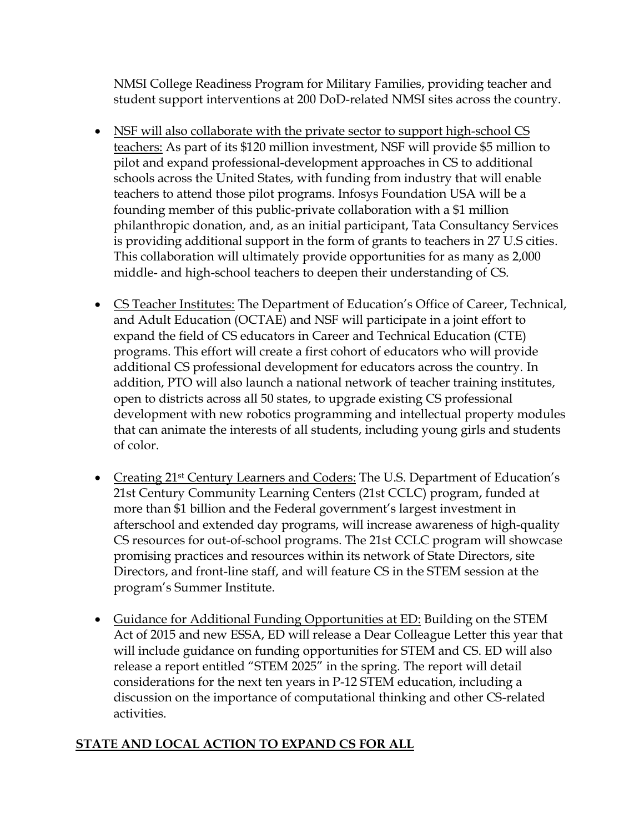NMSI College Readiness Program for Military Families, providing teacher and student support interventions at 200 DoD-related NMSI sites across the country.

- NSF will also collaborate with the private sector to support high-school CS teachers: As part of its \$120 million investment, NSF will provide \$5 million to pilot and expand professional-development approaches in CS to additional schools across the United States, with funding from industry that will enable teachers to attend those pilot programs. Infosys Foundation USA will be a founding member of this public-private collaboration with a \$1 million philanthropic donation, and, as an initial participant, Tata Consultancy Services is providing additional support in the form of grants to teachers in 27 U.S cities. This collaboration will ultimately provide opportunities for as many as 2,000 middle- and high-school teachers to deepen their understanding of CS.
- CS Teacher Institutes: The Department of Education's Office of Career, Technical, and Adult Education (OCTAE) and NSF will participate in a joint effort to expand the field of CS educators in Career and Technical Education (CTE) programs. This effort will create a first cohort of educators who will provide additional CS professional development for educators across the country. In addition, PTO will also launch a national network of teacher training institutes, open to districts across all 50 states, to upgrade existing CS professional development with new robotics programming and intellectual property modules that can animate the interests of all students, including young girls and students of color.
- Creating 21<sup>st</sup> Century Learners and Coders: The U.S. Department of Education's 21st Century Community Learning Centers (21st CCLC) program, funded at more than \$1 billion and the Federal government's largest investment in afterschool and extended day programs, will increase awareness of high-quality CS resources for out-of-school programs. The 21st CCLC program will showcase promising practices and resources within its network of State Directors, site Directors, and front-line staff, and will feature CS in the STEM session at the program's Summer Institute.
- Guidance for Additional Funding Opportunities at ED: Building on the STEM Act of 2015 and new ESSA, ED will release a Dear Colleague Letter this year that will include guidance on funding opportunities for STEM and CS. ED will also release a report entitled "STEM 2025" in the spring. The report will detail considerations for the next ten years in P-12 STEM education, including a discussion on the importance of computational thinking and other CS-related activities.

# **STATE AND LOCAL ACTION TO EXPAND CS FOR ALL**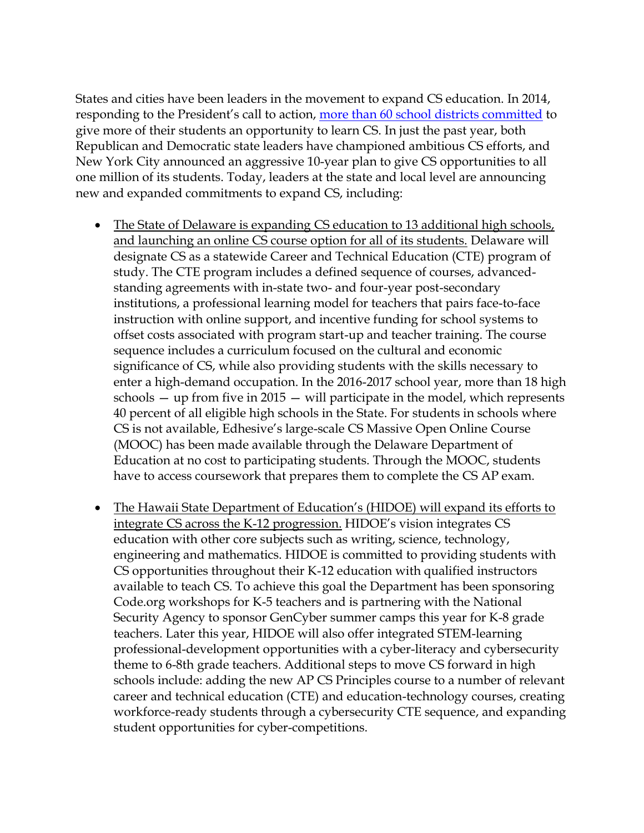States and cities have been leaders in the movement to expand CS education. In 2014, responding to the President's call to action, [more than 60 school districts committed](https://www.whitehouse.gov/the-press-office/2014/12/08/fact-sheet-new-commitments-support-computer-science-education) to give more of their students an opportunity to learn CS. In just the past year, both Republican and Democratic state leaders have championed ambitious CS efforts, and New York City announced an aggressive 10-year plan to give CS opportunities to all one million of its students. Today, leaders at the state and local level are announcing new and expanded commitments to expand CS, including:

- The State of Delaware is expanding CS education to 13 additional high schools, and launching an online CS course option for all of its students. Delaware will designate CS as a statewide Career and Technical Education (CTE) program of study. The CTE program includes a defined sequence of courses, advancedstanding agreements with in-state two- and four-year post-secondary institutions, a professional learning model for teachers that pairs face-to-face instruction with online support, and incentive funding for school systems to offset costs associated with program start-up and teacher training. The course sequence includes a curriculum focused on the cultural and economic significance of CS, while also providing students with the skills necessary to enter a high-demand occupation. In the 2016-2017 school year, more than 18 high schools — up from five in 2015 — will participate in the model, which represents 40 percent of all eligible high schools in the State. For students in schools where CS is not available, Edhesive's large-scale CS Massive Open Online Course (MOOC) has been made available through the Delaware Department of Education at no cost to participating students. Through the MOOC, students have to access coursework that prepares them to complete the CS AP exam.
- The Hawaii State Department of Education's (HIDOE) will expand its efforts to integrate CS across the K-12 progression. HIDOE's vision integrates CS education with other core subjects such as writing, science, technology, engineering and mathematics. HIDOE is committed to providing students with CS opportunities throughout their K-12 education with qualified instructors available to teach CS. To achieve this goal the Department has been sponsoring Code.org workshops for K-5 teachers and is partnering with the National Security Agency to sponsor GenCyber summer camps this year for K-8 grade teachers. Later this year, HIDOE will also offer integrated STEM-learning professional-development opportunities with a cyber-literacy and cybersecurity theme to 6-8th grade teachers. Additional steps to move CS forward in high schools include: adding the new AP CS Principles course to a number of relevant career and technical education (CTE) and education-technology courses, creating workforce-ready students through a cybersecurity CTE sequence, and expanding student opportunities for cyber-competitions.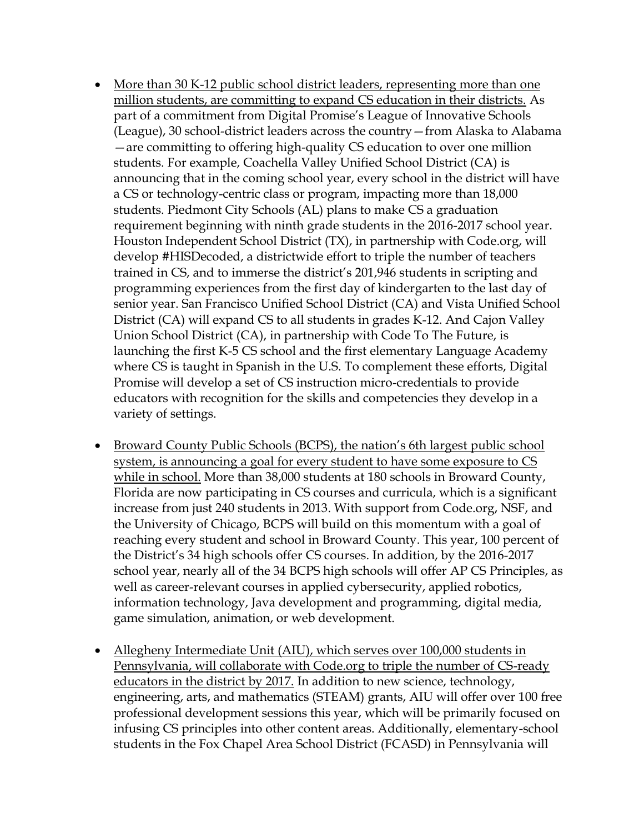- More than 30 K-12 public school district leaders, representing more than one million students, are committing to expand CS education in their districts. As part of a commitment from Digital Promise's League of Innovative Schools (League), 30 school-district leaders across the country—from Alaska to Alabama —are committing to offering high-quality CS education to over one million students. For example, Coachella Valley Unified School District (CA) is announcing that in the coming school year, every school in the district will have a CS or technology-centric class or program, impacting more than 18,000 students. Piedmont City Schools (AL) plans to make CS a graduation requirement beginning with ninth grade students in the 2016-2017 school year. Houston Independent School District (TX), in partnership with Code.org, will develop #HISDecoded, a districtwide effort to triple the number of teachers trained in CS, and to immerse the district's 201,946 students in scripting and programming experiences from the first day of kindergarten to the last day of senior year. San Francisco Unified School District (CA) and Vista Unified School District (CA) will expand CS to all students in grades K-12. And Cajon Valley Union School District (CA), in partnership with Code To The Future, is launching the first K-5 CS school and the first elementary Language Academy where CS is taught in Spanish in the U.S. To complement these efforts, Digital Promise will develop a set of CS instruction micro-credentials to provide educators with recognition for the skills and competencies they develop in a variety of settings.
- Broward County Public Schools (BCPS), the nation's 6th largest public school system, is announcing a goal for every student to have some exposure to CS while in school. More than 38,000 students at 180 schools in Broward County, Florida are now participating in CS courses and curricula, which is a significant increase from just 240 students in 2013. With support from Code.org, NSF, and the University of Chicago, BCPS will build on this momentum with a goal of reaching every student and school in Broward County. This year, 100 percent of the District's 34 high schools offer CS courses. In addition, by the 2016-2017 school year, nearly all of the 34 BCPS high schools will offer AP CS Principles, as well as career-relevant courses in applied cybersecurity, applied robotics, information technology, Java development and programming, digital media, game simulation, animation, or web development.
- Allegheny Intermediate Unit (AIU), which serves over 100,000 students in Pennsylvania, will collaborate with Code.org to triple the number of CS-ready educators in the district by 2017. In addition to new science, technology, engineering, arts, and mathematics (STEAM) grants, AIU will offer over 100 free professional development sessions this year, which will be primarily focused on infusing CS principles into other content areas. Additionally, elementary-school students in the Fox Chapel Area School District (FCASD) in Pennsylvania will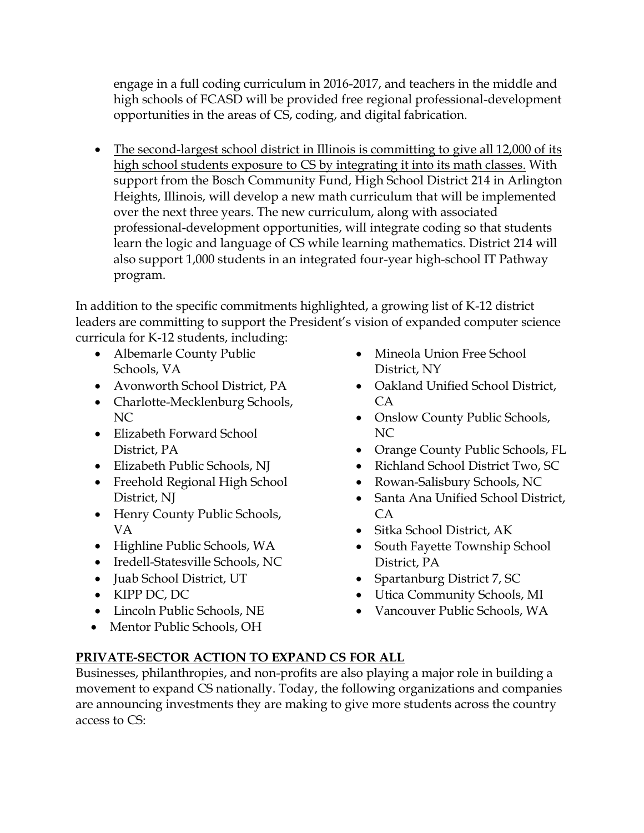engage in a full coding curriculum in 2016-2017, and teachers in the middle and high schools of FCASD will be provided free regional professional-development opportunities in the areas of CS, coding, and digital fabrication.

• The second-largest school district in Illinois is committing to give all 12,000 of its high school students exposure to CS by integrating it into its math classes. With support from the Bosch Community Fund, High School District 214 in Arlington Heights, Illinois, will develop a new math curriculum that will be implemented over the next three years. The new curriculum, along with associated professional-development opportunities, will integrate coding so that students learn the logic and language of CS while learning mathematics. District 214 will also support 1,000 students in an integrated four-year high-school IT Pathway program.

In addition to the specific commitments highlighted, a growing list of K-12 district leaders are committing to support the President's vision of expanded computer science curricula for K-12 students, including:

- Albemarle County Public Schools, VA
- Avonworth School District, PA
- Charlotte-Mecklenburg Schools, NC
- Elizabeth Forward School District, PA
- Elizabeth Public Schools, NJ
- Freehold Regional High School District, NJ
- Henry County Public Schools, VA
- Highline Public Schools, WA
- Iredell-Statesville Schools, NC
- Juab School District, UT
- KIPP DC, DC
- Lincoln Public Schools, NE
- Mentor Public Schools, OH
- Mineola Union Free School District, NY
- Oakland Unified School District, CA
- Onslow County Public Schools, NC
- Orange County Public Schools, FL
- Richland School District Two, SC
- Rowan-Salisbury Schools, NC
- Santa Ana Unified School District, CA
- Sitka School District, AK
- South Fayette Township School District, PA
- Spartanburg District 7, SC
- Utica Community Schools, MI
- Vancouver Public Schools, WA

## **PRIVATE-SECTOR ACTION TO EXPAND CS FOR ALL**

Businesses, philanthropies, and non-profits are also playing a major role in building a movement to expand CS nationally. Today, the following organizations and companies are announcing investments they are making to give more students across the country access to CS: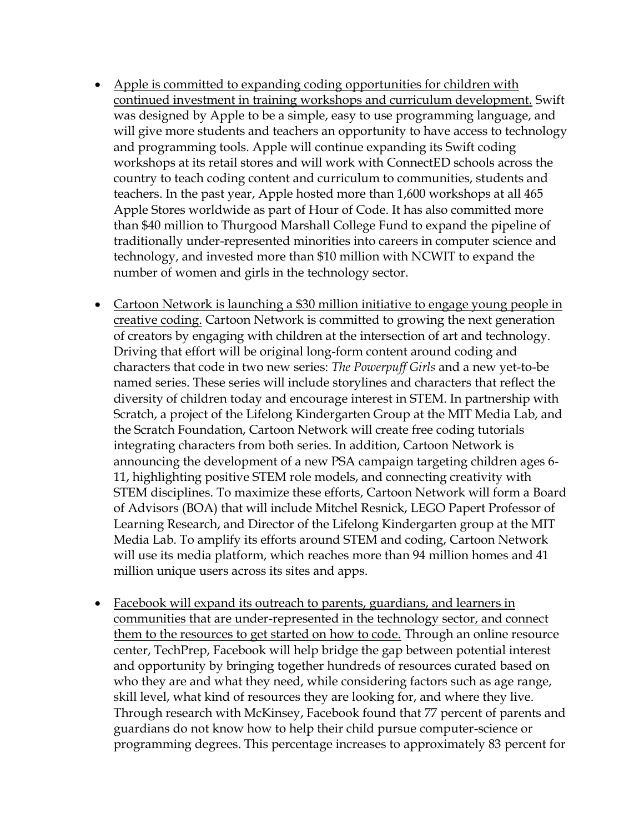- Apple is committed to expanding coding opportunities for children with continued investment in training workshops and curriculum development. Swift was designed by Apple to be a simple, easy to use programming language, and will give more students and teachers an opportunity to have access to technology and programming tools. Apple will continue expanding its Swift coding workshops at its retail stores and will work with ConnectED schools across the country to teach coding content and curriculum to communities, students and teachers. In the past year, Apple hosted more than 1,600 workshops at all 465 Apple Stores worldwide as part of Hour of Code. It has also committed more than \$40 million to Thurgood Marshall College Fund to expand the pipeline of traditionally under-represented minorities into careers in computer science and technology, and invested more than \$10 million with NCWIT to expand the number of women and girls in the technology sector.
- Cartoon Network is launching a \$30 million initiative to engage young people in creative coding. Cartoon Network is committed to growing the next generation of creators by engaging with children at the intersection of art and technology. Driving that effort will be original long-form content around coding and characters that code in two new series: *The Powerpuff Girls* and a new yet-to-be named series. These series will include storylines and characters that reflect the diversity of children today and encourage interest in STEM. In partnership with Scratch, a project of the Lifelong Kindergarten Group at the MIT Media Lab, and the Scratch Foundation, Cartoon Network will create free coding tutorials integrating characters from both series. In addition, Cartoon Network is announcing the development of a new PSA campaign targeting children ages 6- 11, highlighting positive STEM role models, and connecting creativity with STEM disciplines. To maximize these efforts, Cartoon Network will form a Board of Advisors (BOA) that will include Mitchel Resnick, LEGO Papert Professor of Learning Research, and Director of the Lifelong Kindergarten group at the MIT Media Lab. To amplify its efforts around STEM and coding, Cartoon Network will use its media platform, which reaches more than 94 million homes and 41 million unique users across its sites and apps.
- Facebook will expand its outreach to parents, guardians, and learners in communities that are under-represented in the technology sector, and connect them to the resources to get started on how to code. Through an online resource center, TechPrep, Facebook will help bridge the gap between potential interest and opportunity by bringing together hundreds of resources curated based on who they are and what they need, while considering factors such as age range, skill level, what kind of resources they are looking for, and where they live. Through research with McKinsey, Facebook found that 77 percent of parents and guardians do not know how to help their child pursue computer-science or programming degrees. This percentage increases to approximately 83 percent for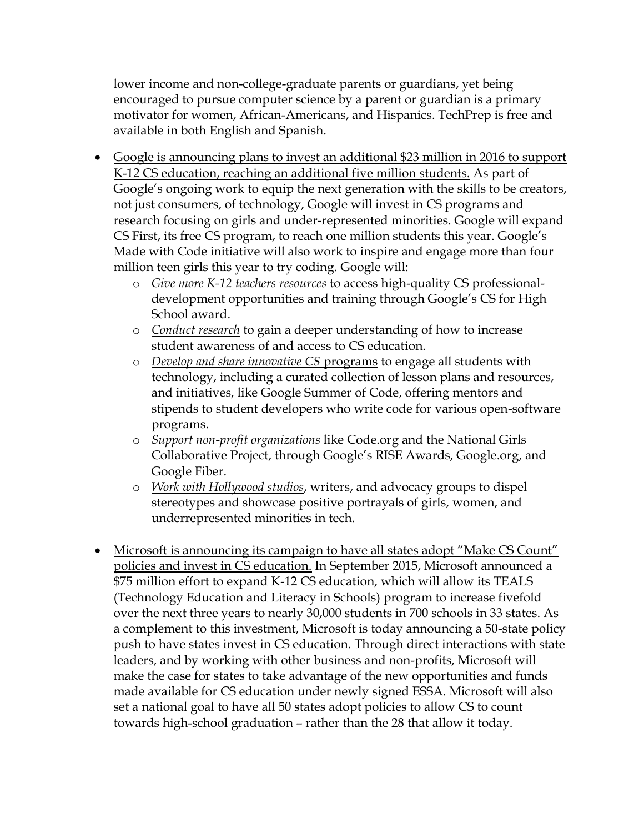lower income and non-college-graduate parents or guardians, yet being encouraged to pursue computer science by a parent or guardian is a primary motivator for women, African-Americans, and Hispanics. TechPrep is free and available in both English and Spanish.

- Google is announcing plans to invest an additional \$23 million in 2016 to support K-12 CS education, reaching an additional five million students. As part of Google's ongoing work to equip the next generation with the skills to be creators, not just consumers, of technology, Google will invest in CS programs and research focusing on girls and under-represented minorities. Google will expand CS First, its free CS program, to reach one million students this year. Google's Made with Code initiative will also work to inspire and engage more than four million teen girls this year to try coding. Google will:
	- o *Give more K-12 teachers resources* to access high-quality CS professionaldevelopment opportunities and training through Google's CS for High School award.
	- o *Conduct research* to gain a deeper understanding of how to increase student awareness of and access to CS education.
	- o *Develop and share innovative CS* programs to engage all students with technology, including a curated collection of lesson plans and resources, and initiatives, like Google Summer of Code, offering mentors and stipends to student developers who write code for various open-software programs.
	- o *Support non-profit organizations* like Code.org and the National Girls Collaborative Project, through Google's RISE Awards, Google.org, and Google Fiber.
	- o *Work with Hollywood studios*, writers, and advocacy groups to dispel stereotypes and showcase positive portrayals of girls, women, and underrepresented minorities in tech.
- Microsoft is announcing its campaign to have all states adopt "Make CS Count" policies and invest in CS education. In September 2015, Microsoft announced a \$75 million effort to expand K-12 CS education, which will allow its TEALS (Technology Education and Literacy in Schools) program to increase fivefold over the next three years to nearly 30,000 students in 700 schools in 33 states. As a complement to this investment, Microsoft is today announcing a 50-state policy push to have states invest in CS education. Through direct interactions with state leaders, and by working with other business and non-profits, Microsoft will make the case for states to take advantage of the new opportunities and funds made available for CS education under newly signed ESSA. Microsoft will also set a national goal to have all 50 states adopt policies to allow CS to count towards high-school graduation – rather than the 28 that allow it today.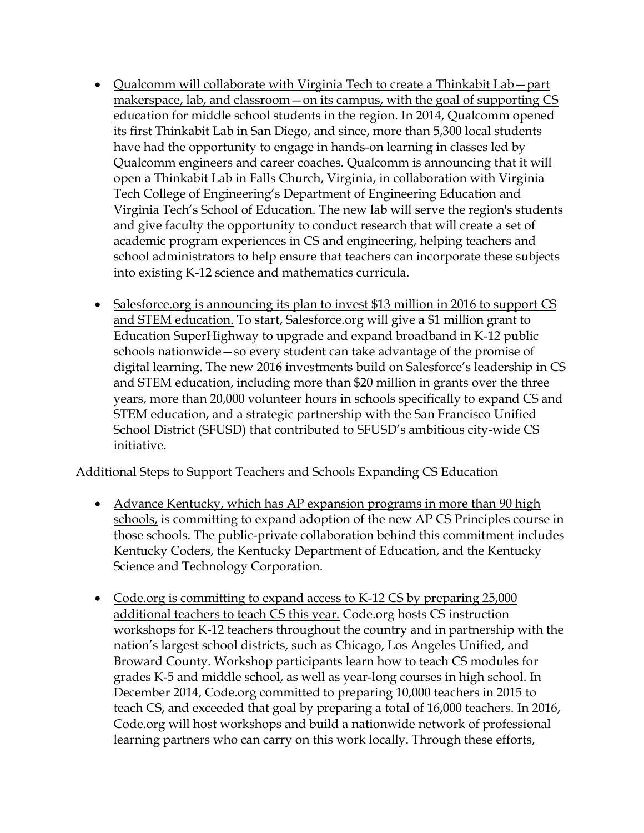- Qualcomm will collaborate with Virginia Tech to create a Thinkabit Lab—part makerspace, lab, and classroom—on its campus, with the goal of supporting CS education for middle school students in the region. In 2014, Qualcomm opened its first Thinkabit Lab in San Diego, and since, more than 5,300 local students have had the opportunity to engage in hands-on learning in classes led by Qualcomm engineers and career coaches. Qualcomm is announcing that it will open a Thinkabit Lab in Falls Church, Virginia, in collaboration with Virginia Tech College of Engineering's Department of Engineering Education and Virginia Tech's School of Education. The new lab will serve the region's students and give faculty the opportunity to conduct research that will create a set of academic program experiences in CS and engineering, helping teachers and school administrators to help ensure that teachers can incorporate these subjects into existing K-12 science and mathematics curricula.
- Salesforce.org is announcing its plan to invest \$13 million in 2016 to support CS and STEM education. To start, Salesforce.org will give a \$1 million grant to Education SuperHighway to upgrade and expand broadband in K-12 public schools nationwide—so every student can take advantage of the promise of digital learning. The new 2016 investments build on Salesforce's leadership in CS and STEM education, including more than \$20 million in grants over the three years, more than 20,000 volunteer hours in schools specifically to expand CS and STEM education, and a strategic partnership with the San Francisco Unified School District (SFUSD) that contributed to SFUSD's ambitious city-wide CS initiative.

### Additional Steps to Support Teachers and Schools Expanding CS Education

- Advance Kentucky, which has AP expansion programs in more than 90 high schools, is committing to expand adoption of the new AP CS Principles course in those schools. The public-private collaboration behind this commitment includes Kentucky Coders, the Kentucky Department of Education, and the Kentucky Science and Technology Corporation.
- Code.org is committing to expand access to K-12 CS by preparing 25,000 additional teachers to teach CS this year. Code.org hosts CS instruction workshops for K-12 teachers throughout the country and in partnership with the nation's largest school districts, such as Chicago, Los Angeles Unified, and Broward County. Workshop participants learn how to teach CS modules for grades K-5 and middle school, as well as year-long courses in high school. In December 2014, Code.org committed to preparing 10,000 teachers in 2015 to teach CS, and exceeded that goal by preparing a total of 16,000 teachers. In 2016, Code.org will host workshops and build a nationwide network of professional learning partners who can carry on this work locally. Through these efforts,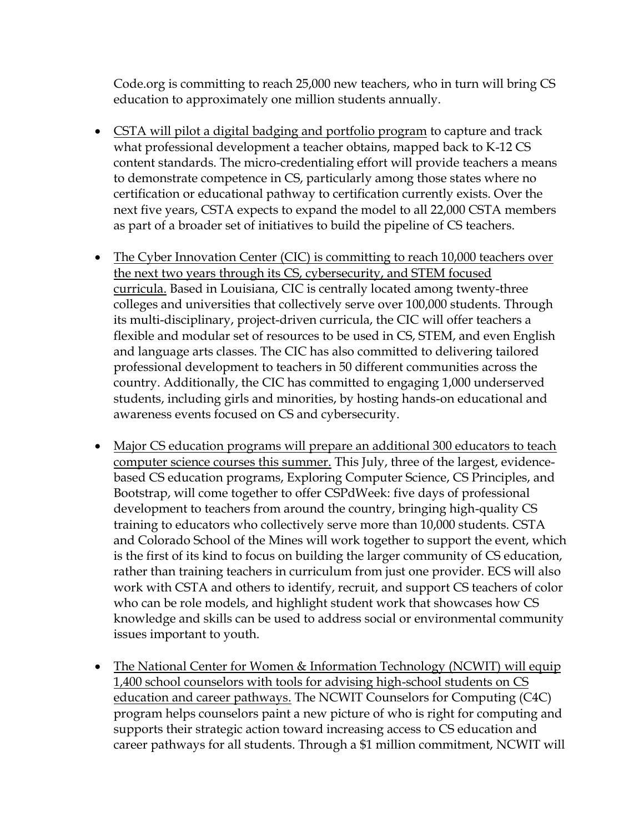Code.org is committing to reach 25,000 new teachers, who in turn will bring CS education to approximately one million students annually.

- CSTA will pilot a digital badging and portfolio program to capture and track what professional development a teacher obtains, mapped back to K-12 CS content standards. The micro-credentialing effort will provide teachers a means to demonstrate competence in CS, particularly among those states where no certification or educational pathway to certification currently exists. Over the next five years, CSTA expects to expand the model to all 22,000 CSTA members as part of a broader set of initiatives to build the pipeline of CS teachers.
- The Cyber Innovation Center (CIC) is committing to reach 10,000 teachers over the next two years through its CS, cybersecurity, and STEM focused curricula. Based in Louisiana, CIC is centrally located among twenty-three colleges and universities that collectively serve over 100,000 students. Through its multi-disciplinary, project-driven curricula, the CIC will offer teachers a flexible and modular set of resources to be used in CS, STEM, and even English and language arts classes. The CIC has also committed to delivering tailored professional development to teachers in 50 different communities across the country. Additionally, the CIC has committed to engaging 1,000 underserved students, including girls and minorities, by hosting hands-on educational and awareness events focused on CS and cybersecurity.
- Major CS education programs will prepare an additional 300 educators to teach computer science courses this summer. This July, three of the largest, evidencebased CS education programs, Exploring Computer Science, CS Principles, and Bootstrap, will come together to offer CSPdWeek: five days of professional development to teachers from around the country, bringing high-quality CS training to educators who collectively serve more than 10,000 students. CSTA and Colorado School of the Mines will work together to support the event, which is the first of its kind to focus on building the larger community of CS education, rather than training teachers in curriculum from just one provider. ECS will also work with CSTA and others to identify, recruit, and support CS teachers of color who can be role models, and highlight student work that showcases how CS knowledge and skills can be used to address social or environmental community issues important to youth.
- The National Center for Women & Information Technology (NCWIT) will equip 1,400 school counselors with tools for advising high-school students on CS education and career pathways. The NCWIT Counselors for Computing (C4C) program helps counselors paint a new picture of who is right for computing and supports their strategic action toward increasing access to CS education and career pathways for all students. Through a \$1 million commitment, NCWIT will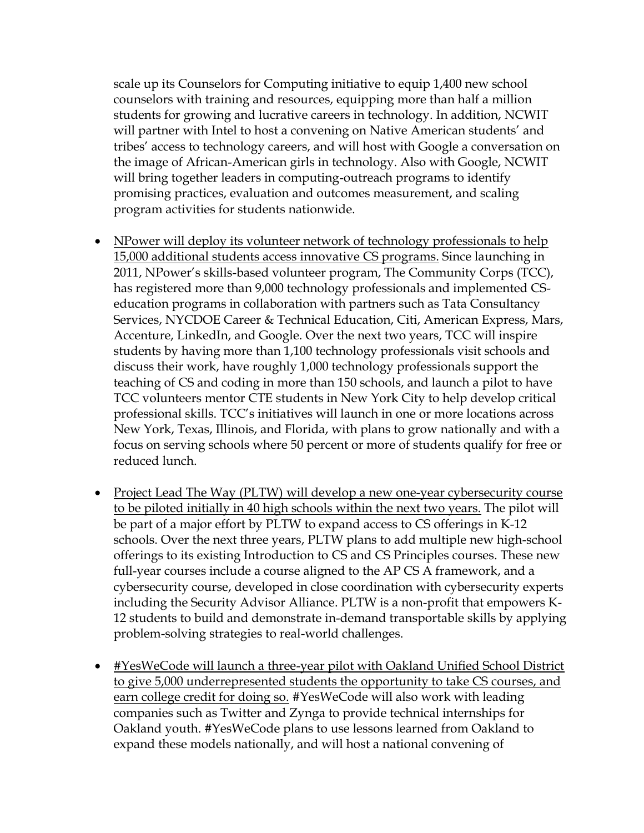scale up its Counselors for Computing initiative to equip 1,400 new school counselors with training and resources, equipping more than half a million students for growing and lucrative careers in technology. In addition, NCWIT will partner with Intel to host a convening on Native American students' and tribes' access to technology careers, and will host with Google a conversation on the image of African-American girls in technology. Also with Google, NCWIT will bring together leaders in computing-outreach programs to identify promising practices, evaluation and outcomes measurement, and scaling program activities for students nationwide.

- NPower will deploy its volunteer network of technology professionals to help 15,000 additional students access innovative CS programs. Since launching in 2011, NPower's skills-based volunteer program, The Community Corps (TCC), has registered more than 9,000 technology professionals and implemented CSeducation programs in collaboration with partners such as Tata Consultancy Services, NYCDOE Career & Technical Education, Citi, American Express, Mars, Accenture, LinkedIn, and Google. Over the next two years, TCC will inspire students by having more than 1,100 technology professionals visit schools and discuss their work, have roughly 1,000 technology professionals support the teaching of CS and coding in more than 150 schools, and launch a pilot to have TCC volunteers mentor CTE students in New York City to help develop critical professional skills. TCC's initiatives will launch in one or more locations across New York, Texas, Illinois, and Florida, with plans to grow nationally and with a focus on serving schools where 50 percent or more of students qualify for free or reduced lunch.
- Project Lead The Way (PLTW) will develop a new one-year cybersecurity course to be piloted initially in 40 high schools within the next two years. The pilot will be part of a major effort by PLTW to expand access to CS offerings in K-12 schools. Over the next three years, PLTW plans to add multiple new high-school offerings to its existing Introduction to CS and CS Principles courses. These new full-year courses include a course aligned to the AP CS A framework, and a cybersecurity course, developed in close coordination with cybersecurity experts including the Security Advisor Alliance. PLTW is a non-profit that empowers K-12 students to build and demonstrate in-demand transportable skills by applying problem-solving strategies to real-world challenges.
- #YesWeCode will launch a three-year pilot with Oakland Unified School District to give 5,000 underrepresented students the opportunity to take CS courses, and earn college credit for doing so. #YesWeCode will also work with leading companies such as Twitter and Zynga to provide technical internships for Oakland youth. #YesWeCode plans to use lessons learned from Oakland to expand these models nationally, and will host a national convening of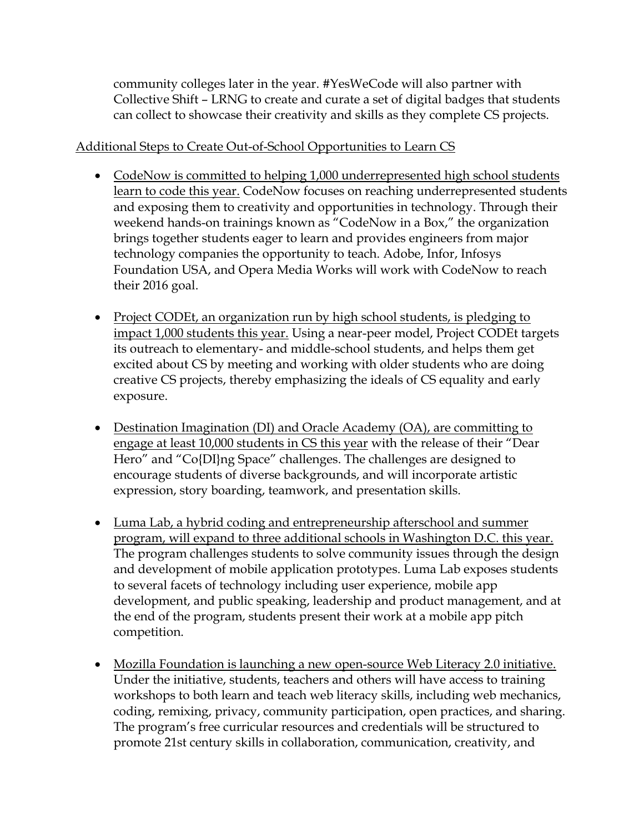community colleges later in the year. #YesWeCode will also partner with Collective Shift – LRNG to create and curate a set of digital badges that students can collect to showcase their creativity and skills as they complete CS projects.

### Additional Steps to Create Out-of-School Opportunities to Learn CS

- CodeNow is committed to helping 1,000 underrepresented high school students learn to code this year. CodeNow focuses on reaching underrepresented students and exposing them to creativity and opportunities in technology. Through their weekend hands-on trainings known as "CodeNow in a Box," the organization brings together students eager to learn and provides engineers from major technology companies the opportunity to teach. Adobe, Infor, Infosys Foundation USA, and Opera Media Works will work with CodeNow to reach their 2016 goal.
- Project CODEt, an organization run by high school students, is pledging to impact 1,000 students this year. Using a near-peer model, Project CODEt targets its outreach to elementary- and middle-school students, and helps them get excited about CS by meeting and working with older students who are doing creative CS projects, thereby emphasizing the ideals of CS equality and early exposure.
- Destination Imagination (DI) and Oracle Academy (OA), are committing to engage at least 10,000 students in CS this year with the release of their "Dear Hero" and "Co{DI}ng Space" challenges. The challenges are designed to encourage students of diverse backgrounds, and will incorporate artistic expression, story boarding, teamwork, and presentation skills.
- Luma Lab, a hybrid coding and entrepreneurship afterschool and summer program, will expand to three additional schools in Washington D.C. this year. The program challenges students to solve community issues through the design and development of mobile application prototypes. Luma Lab exposes students to several facets of technology including user experience, mobile app development, and public speaking, leadership and product management, and at the end of the program, students present their work at a mobile app pitch competition.
- Mozilla Foundation is launching a new open-source Web Literacy 2.0 initiative. Under the initiative, students, teachers and others will have access to training workshops to both learn and teach web literacy skills, including web mechanics, coding, remixing, privacy, community participation, open practices, and sharing. The program's free curricular resources and credentials will be structured to promote 21st century skills in collaboration, communication, creativity, and